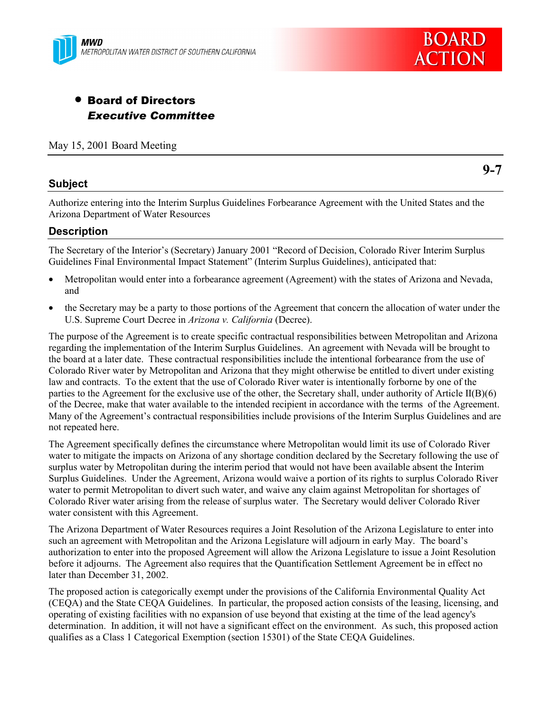



# • Board of Directors *Executive Committee*

May 15, 2001 Board Meeting

### **Subject**

**9-7**

Authorize entering into the Interim Surplus Guidelines Forbearance Agreement with the United States and the Arizona Department of Water Resources

### **Description**

The Secretary of the Interior's (Secretary) January 2001 "Record of Decision, Colorado River Interim Surplus Guidelines Final Environmental Impact Statement" (Interim Surplus Guidelines), anticipated that:

- Metropolitan would enter into a forbearance agreement (Agreement) with the states of Arizona and Nevada, and
- the Secretary may be a party to those portions of the Agreement that concern the allocation of water under the U.S. Supreme Court Decree in *Arizona v. California* (Decree).

The purpose of the Agreement is to create specific contractual responsibilities between Metropolitan and Arizona regarding the implementation of the Interim Surplus Guidelines. An agreement with Nevada will be brought to the board at a later date. These contractual responsibilities include the intentional forbearance from the use of Colorado River water by Metropolitan and Arizona that they might otherwise be entitled to divert under existing law and contracts. To the extent that the use of Colorado River water is intentionally forborne by one of the parties to the Agreement for the exclusive use of the other, the Secretary shall, under authority of Article II(B)(6) of the Decree, make that water available to the intended recipient in accordance with the terms of the Agreement. Many of the Agreement's contractual responsibilities include provisions of the Interim Surplus Guidelines and are not repeated here.

The Agreement specifically defines the circumstance where Metropolitan would limit its use of Colorado River water to mitigate the impacts on Arizona of any shortage condition declared by the Secretary following the use of surplus water by Metropolitan during the interim period that would not have been available absent the Interim Surplus Guidelines. Under the Agreement, Arizona would waive a portion of its rights to surplus Colorado River water to permit Metropolitan to divert such water, and waive any claim against Metropolitan for shortages of Colorado River water arising from the release of surplus water. The Secretary would deliver Colorado River water consistent with this Agreement.

The Arizona Department of Water Resources requires a Joint Resolution of the Arizona Legislature to enter into such an agreement with Metropolitan and the Arizona Legislature will adjourn in early May. The board's authorization to enter into the proposed Agreement will allow the Arizona Legislature to issue a Joint Resolution before it adjourns. The Agreement also requires that the Quantification Settlement Agreement be in effect no later than December 31, 2002.

The proposed action is categorically exempt under the provisions of the California Environmental Quality Act (CEQA) and the State CEQA Guidelines. In particular, the proposed action consists of the leasing, licensing, and operating of existing facilities with no expansion of use beyond that existing at the time of the lead agency's determination. In addition, it will not have a significant effect on the environment. As such, this proposed action qualifies as a Class 1 Categorical Exemption (section 15301) of the State CEQA Guidelines.